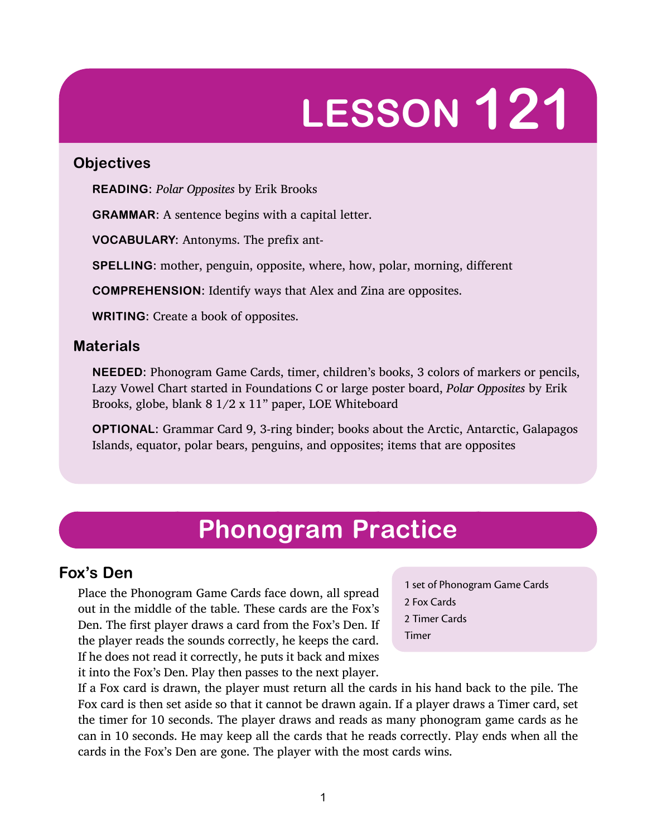# **LESSON 121**

#### **Objectives**

**READING:** *Polar Opposites* by Erik Brooks

**GRAMMAR:** A sentence begins with a capital letter.

**VOCABULARY:** Antonyms. The prefix ant-

**SPELLING:** mother, penguin, opposite, where, how, polar, morning, different

**COMPREHENSION:** Identify ways that Alex and Zina are opposites.

**WRITING:** Create a book of opposites.

#### **Materials**

**NEEDED:** Phonogram Game Cards, timer, children's books, 3 colors of markers or pencils, Lazy Vowel Chart started in Foundations C or large poster board, *Polar Opposites* by Erik Brooks, globe, blank  $8 \frac{1}{2} \times 11$ " paper, LOE Whiteboard

**OPTIONAL:** Grammar Card 9, 3-ring binder; books about the Arctic, Antarctic, Galapagos Islands, equator, polar bears, penguins, and opposites; items that are opposites

# **Phonogram Practice**

# **Fox's Den**

Place the Phonogram Game Cards face down, all spread out in the middle of the table. These cards are the Fox's Den. The first player draws a card from the Fox's Den. If the player reads the sounds correctly, he keeps the card. If he does not read it correctly, he puts it back and mixes it into the Fox's Den. Play then passes to the next player.

1 set of Phonogram Game Cards 2 Fox Cards 2 Timer Cards Timer

If a Fox card is drawn, the player must return all the cards in his hand back to the pile. The Fox card is then set aside so that it cannot be drawn again. If a player draws a Timer card, set the timer for 10 seconds. The player draws and reads as many phonogram game cards as he can in 10 seconds. He may keep all the cards that he reads correctly. Play ends when all the cards in the Fox's Den are gone. The player with the most cards wins.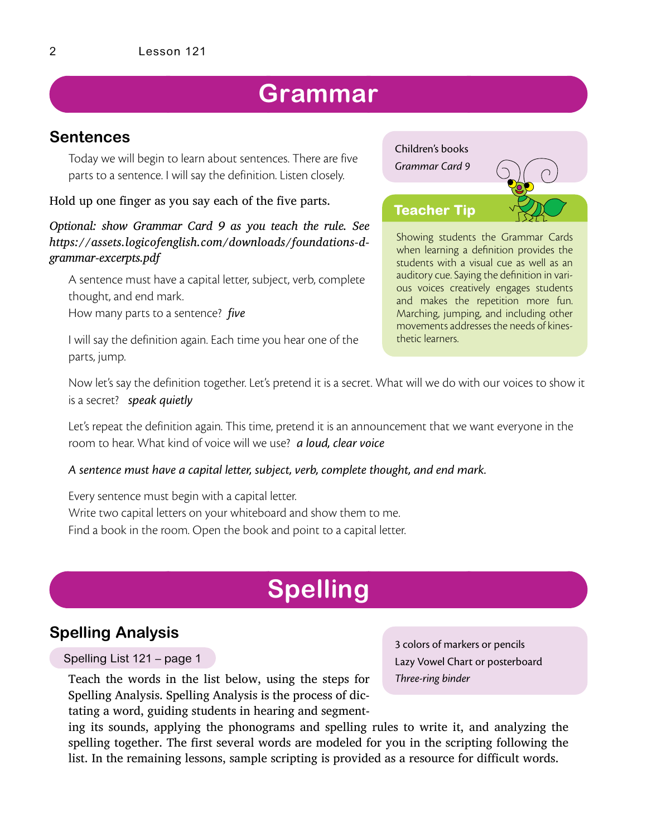# **Grammar**

## **Sentences**

Today we will begin to learn about sentences. There are five parts to a sentence. I will say the definition. Listen closely.

#### Hold up one finger as you say each of the five parts.

*Optional: show Grammar Card 9 as you teach the rule. See https://assets.logicofenglish.com/downloads/foundations-dgrammar-excerpts.pdf*

A sentence must have a capital letter, subject, verb, complete thought, and end mark.

How many parts to a sentence? *five*

I will say the definition again. Each time you hear one of the parts, jump.

# Children's books *Grammar Card 9* Showing students the Grammar Cards when learning a definition provides the students with a visual cue as well as an **Teacher Tip**

auditory cue. Saying the definition in various voices creatively engages students and makes the repetition more fun. Marching, jumping, and including other movements addresses the needs of kinesthetic learners.

Now let's say the definition together. Let's pretend it is a secret. What will we do with our voices to show it is a secret? *speak quietly*

Let's repeat the definition again. This time, pretend it is an announcement that we want everyone in the room to hear. What kind of voice will we use? *a loud, clear voice*

#### *A sentence must have a capital letter, subject, verb, complete thought, and end mark.*

Every sentence must begin with a capital letter. Write two capital letters on your whiteboard and show them to me. Find a book in the room. Open the book and point to a capital letter.

# **Spelling**

## **Spelling Analysis**

#### Spelling List 121 – page 1

Teach the words in the list below, using the steps for Spelling Analysis. Spelling Analysis is the process of dictating a word, guiding students in hearing and segment3 colors of markers or pencils Lazy Vowel Chart or posterboard *Three-ring binder*

ing its sounds, applying the phonograms and spelling rules to write it, and analyzing the spelling together. The first several words are modeled for you in the scripting following the list. In the remaining lessons, sample scripting is provided as a resource for difficult words.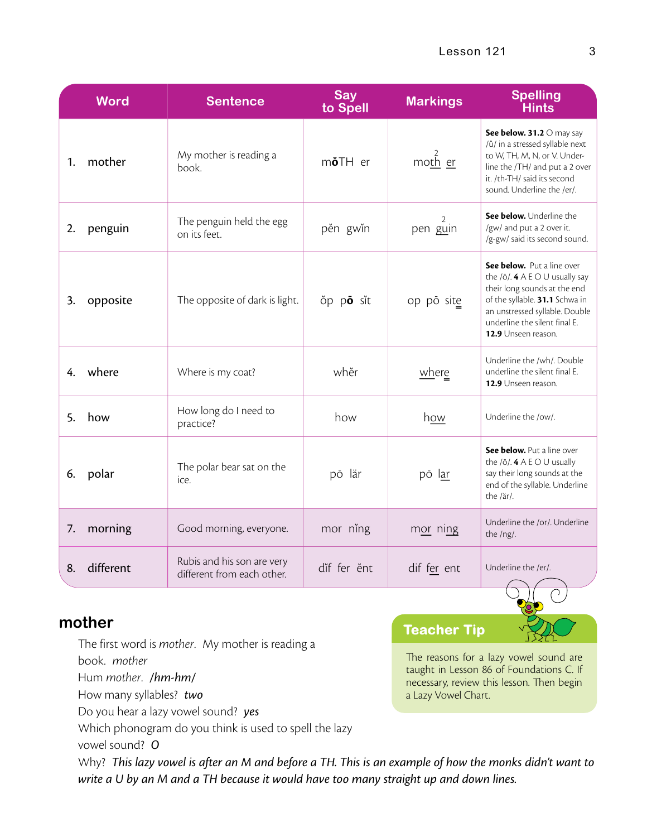|    | <b>Word</b> | <b>Sentence</b>                                          | Say<br>to Spell  | <b>Markings</b> | <b>Spelling</b><br><b>Hints</b>                                                                                                                                                                                            |
|----|-------------|----------------------------------------------------------|------------------|-----------------|----------------------------------------------------------------------------------------------------------------------------------------------------------------------------------------------------------------------------|
| 1. | mother      | My mother is reading a<br>book.                          | m <b>ö</b> TH er | moth er         | See below. 31.2 O may say<br>/ŭ/ in a stressed syllable next<br>to W, TH, M, N, or V. Under-<br>line the /TH/ and put a 2 over<br>it. /th-TH/ said its second<br>sound. Underline the /er/.                                |
| 2. | penguin     | The penguin held the egg<br>on its feet.                 | pěn gwin         | pen guin        | See below. Underline the<br>/gw/ and put a 2 over it.<br>/g-gw/ said its second sound.                                                                                                                                     |
| 3. | opposite    | The opposite of dark is light.                           | op po sit        | op pō site      | See below. Put a line over<br>the $/0$ . 4 A E O U usually say<br>their long sounds at the end<br>of the syllable. 31.1 Schwa in<br>an unstressed syllable. Double<br>underline the silent final E.<br>12.9 Unseen reason. |
|    | 4. where    | Where is my coat?                                        | whĕr             | where           | Underline the /wh/. Double<br>underline the silent final E.<br>12.9 Unseen reason.                                                                                                                                         |
| 5. | how         | How long do I need to<br>practice?                       | how              | how             | Underline the /ow/.                                                                                                                                                                                                        |
| 6. | polar       | The polar bear sat on the<br>ice.                        | pō lär           | pō lar          | See below. Put a line over<br>the $/0$ . 4 A E O U usually<br>say their long sounds at the<br>end of the syllable. Underline<br>the /är/.                                                                                  |
| 7. | morning     | Good morning, everyone.                                  | mor ning         | mor ning        | Underline the /or/. Underline<br>the /ng/.                                                                                                                                                                                 |
| 8. | different   | Rubis and his son are very<br>different from each other. | dif fer ěnt      | dif fer ent     | Underline the /er/.                                                                                                                                                                                                        |

## **mother**

The first word is *mother*. My mother is reading a

book. *mother*

Hum *mother*. */hm-hm/*

How many syllables? *two*

Do you hear a lazy vowel sound? *yes*

Which phonogram do you think is used to spell the lazy

vowel sound? *O*

**Teacher Tip**

The reasons for a lazy vowel sound are taught in Lesson 86 of Foundations C. If necessary, review this lesson. Then begin a Lazy Vowel Chart.

Why? *This lazy vowel is after an M and before a TH. This is an example of how the monks didn't want to write a U by an M and a TH because it would have too many straight up and down lines.*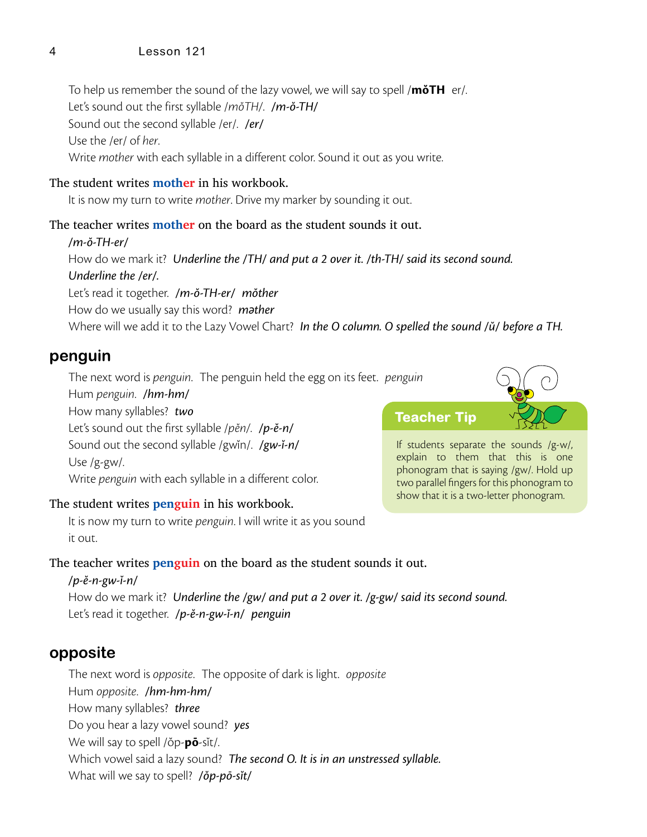#### 4 Lesson 121

To help us remember the sound of the lazy vowel, we will say to spell /**mŏTH** er/. Let's sound out the first syllable /*m*ŏ*TH/*. */m-ŏ-TH/* Sound out the second syllable /er/. */er/* Use the /er/ of *her*. Write *mother* with each syllable in a different color. Sound it out as you write.

#### The student writes **mother** in his workbook.

It is now my turn to write *mother*. Drive my marker by sounding it out.

#### The teacher writes **mother** on the board as the student sounds it out.

*/m-ŏ-TH-er/* How do we mark it? *Underline the /TH/ and put a 2 over it. /th-TH/ said its second sound. Underline the /er/.* Let's read it together. */m-ŏ-TH-er/ mŏther* How do we usually say this word? *m*ә*ther* Where will we add it to the Lazy Vowel Chart? *In the O column. O spelled the sound /ŭ/ before a TH.*

#### **penguin**

The next word is *penguin*. The penguin held the egg on its feet. *penguin*

Hum *penguin*. */hm-hm/* How many syllables? *two* Let's sound out the first syllable /*p*ĕ*n/*. */p-ĕ-n/* Sound out the second syllable /gwĭn/. */gw-ĭ-n/* Use /g-gw/. Write *penguin* with each syllable in a different color.

#### The student writes **penguin** in his workbook.

It is now my turn to write *penguin*. I will write it as you sound it out.

#### The teacher writes **penguin** on the board as the student sounds it out.

*/p-ĕ-n-gw-ĭ-n/* How do we mark it? *Underline the /gw/ and put a 2 over it. /g-gw/ said its second sound.* Let's read it together. */p-ĕ-n-gw-ĭ-n/ penguin*

## **opposite**

The next word is *opposite*. The opposite of dark is light. *opposite* Hum *opposite*. */hm-hm-hm/* How many syllables? *three* Do you hear a lazy vowel sound? *yes* We will say to spell /ŏp-**pō**-sĭt/. Which vowel said a lazy sound? *The second O. It is in an unstressed syllable.* What will we say to spell? */ŏp-pō-sĭt/*

**Teacher Tip**

If students separate the sounds /g-w/, explain to them that this is one phonogram that is saying /gw/. Hold up two parallel fingers for this phonogram to show that it is a two-letter phonogram.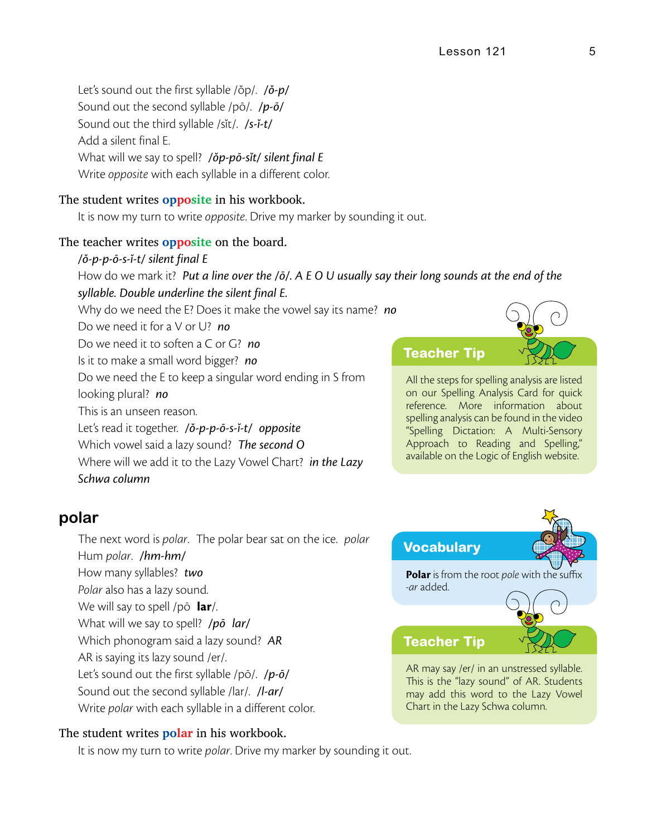Let's sound out the first syllable /ŏp/. */ŏ-p/* Sound out the second syllable /pō/. */p-ō/* Sound out the third syllable /sĭt/. */s-ĭ-t/* Add a silent final E. What will we say to spell? */ŏp-pō-sĭt/ silent final E* Write *opposite* with each syllable in a different color.

#### The student writes **opposite** in his workbook.

It is now my turn to write *opposite*. Drive my marker by sounding it out.

#### The teacher writes **opposite** on the board.

*/ŏ-p-p-ō-s-ĭ-t/ silent final E* How do we mark it? *Put a line over the /ō/. A E O U usually say their long sounds at the end of the syllable. Double underline the silent final E.*

Why do we need the E? Does it make the vowel say its name? *no*

Do we need it for a V or U? *no*

Do we need it to soften a C or G? *no*

Is it to make a small word bigger? *no*

Do we need the E to keep a singular word ending in S from looking plural? *no*

This is an unseen reason.

Let's read it together. */ŏ-p-p-ō-s-ĭ-t/ opposite*

Which vowel said a lazy sound? *The second O*

Where will we add it to the Lazy Vowel Chart? *in the Lazy Schwa column*

## **Teacher Tip**

All the steps for spelling analysis are listed on our Spelling Analysis Card for quick reference. More information about spelling analysis can be found in the video "Spelling Dictation: A Multi-Sensory Approach to Reading and Spelling," available on the Logic of English website.

#### **polar**

The next word is *polar*. The polar bear sat on the ice. *polar* Hum *polar*. */hm-hm/* How many syllables? *two Polar* also has a lazy sound. We will say to spell /pō **lar**/. What will we say to spell? */pō lar/* Which phonogram said a lazy sound? *AR* AR is saying its lazy sound /er/. Let's sound out the first syllable /pō/. */p-ō/* Sound out the second syllable /lar/. */l-ar/* Write *polar* with each syllable in a different color.

#### The student writes **polar** in his workbook.

It is now my turn to write *polar*. Drive my marker by sounding it out.



AR may say /er/ in an unstressed syllable. This is the "lazy sound" of AR. Students may add this word to the Lazy Vowel Chart in the Lazy Schwa column.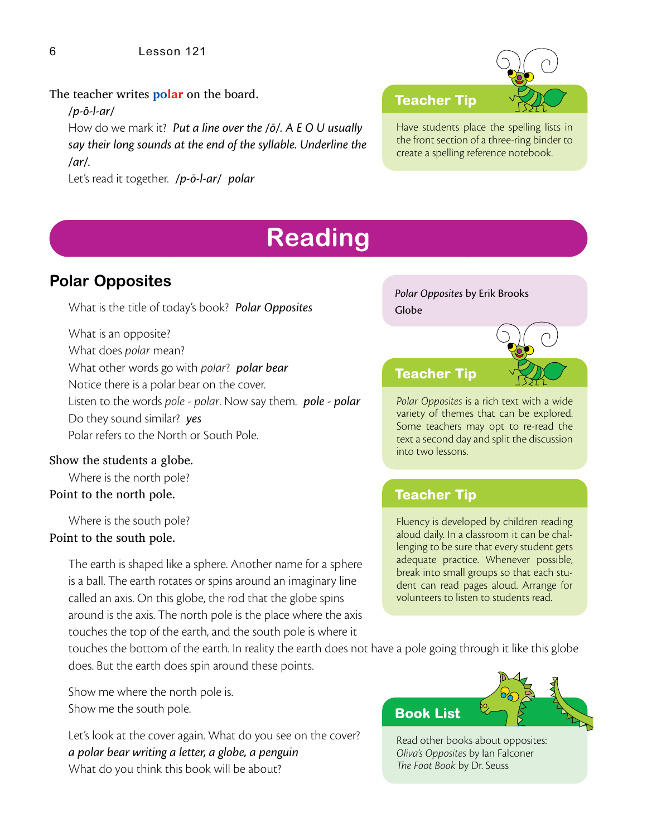#### The teacher writes **polar** on the board.

*/p-ō-l-ar/* 

How do we mark it? *Put a line over the /ō/. A E O U usually say their long sounds at the end of the syllable. Underline the /ar/.*

Let's read it together. */p-ō-l-ar/ polar*

## **Teacher Tip**

Have students place the spelling lists in the front section of a three-ring binder to create a spelling reference notebook.

# **Reading**

# **Polar Opposites**

What is the title of today's book? *Polar Opposites*

What is an opposite? What does *polar* mean? What other words go with *polar*? *polar bear* Notice there is a polar bear on the cover. Listen to the words *pole* - *polar*. Now say them. *pole - polar* Do they sound similar? *yes*

Polar refers to the North or South Pole.

#### Show the students a globe.

Where is the north pole? Point to the north pole.

Where is the south pole? Point to the south pole.

> The earth is shaped like a sphere. Another name for a sphere is a ball. The earth rotates or spins around an imaginary line called an axis. On this globe, the rod that the globe spins around is the axis. The north pole is the place where the axis touches the top of the earth, and the south pole is where it

*Polar Opposites* by Erik Brooks Globe



*Polar Opposites* is a rich text with a wide variety of themes that can be explored. Some teachers may opt to re-read the text a second day and split the discussion into two lessons.

## **Teacher Tip**

Fluency is developed by children reading aloud daily. In a classroom it can be challenging to be sure that every student gets adequate practice. Whenever possible, break into small groups so that each student can read pages aloud. Arrange for volunteers to listen to students read.

touches the bottom of the earth. In reality the earth does not have a pole going through it like this globe does. But the earth does spin around these points.

Show me where the north pole is. Show me the south pole.

Let's look at the cover again. What do you see on the cover? *a polar bear writing a letter, a globe, a penguin* What do you think this book will be about?



Read other books about opposites: *Oliva's Opposites* by Ian Falconer #*e Foot Book* by Dr. Seuss

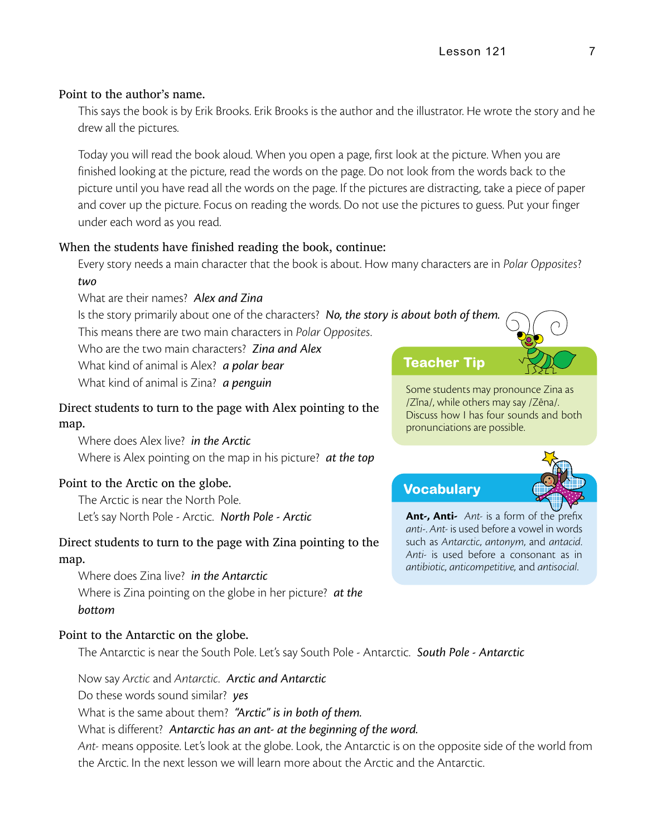#### Point to the author's name.

This says the book is by Erik Brooks. Erik Brooks is the author and the illustrator. He wrote the story and he drew all the pictures.

Today you will read the book aloud. When you open a page, first look at the picture. When you are finished looking at the picture, read the words on the page. Do not look from the words back to the picture until you have read all the words on the page. If the pictures are distracting, take a piece of paper and cover up the picture. Focus on reading the words. Do not use the pictures to guess. Put your finger under each word as you read.

#### When the students have finished reading the book, continue:

Every story needs a main character that the book is about. How many characters are in *Polar Opposites*? *two*

What are their names? *Alex and Zina*

Is the story primarily about one of the characters? *No, the story is about both of them.* This means there are two main characters in *Polar Opposites*.

Who are the two main characters? *Zina and Alex*

What kind of animal is Alex? *a polar bear*

What kind of animal is Zina? *a penguin*

#### Direct students to turn to the page with Alex pointing to the map.

Where does Alex live? *in the Arctic* Where is Alex pointing on the map in his picture? *at the top*

#### Point to the Arctic on the globe.

The Arctic is near the North Pole. Let's say North Pole - Arctic. *North Pole - Arctic*

# Direct students to turn to the page with Zina pointing to the

#### map.

Where does Zina live? *in the Antarctic* Where is Zina pointing on the globe in her picture? *at the bottom*

#### Point to the Antarctic on the globe.

The Antarctic is near the South Pole. Let's say South Pole - Antarctic. *South Pole - Antarctic* 

#### Now say *Arctic* and *Antarctic*. *Arctic and Antarctic*

Do these words sound similar? *yes*

What is the same about them? *"Arctic" is in both of them.*

What is different? *Antarctic has an ant- at the beginning of the word.*

*Ant-* means opposite. Let's look at the globe. Look, the Antarctic is on the opposite side of the world from the Arctic. In the next lesson we will learn more about the Arctic and the Antarctic.

#### **Teacher Tip**



Some students may pronounce Zina as /ZĬna/, while others may say /Zēna/. Discuss how I has four sounds and both pronunciations are possible.

## **Vocabulary**

**Ant-, Anti-** *Ant-* is a form of the prefix *anti*-. *Ant-* is used before a vowel in words such as *Antarctic*, *antonym*, and *antacid*. *Anti-* is used before a consonant as in *antibiotic, anticompetitive,* and *antisocial*.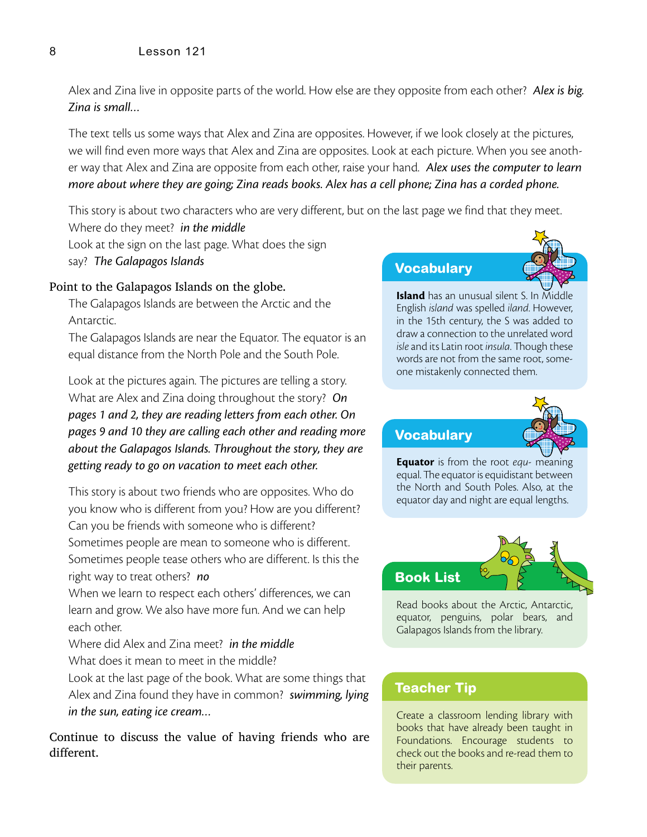#### 8 Lesson 121

Alex and Zina live in opposite parts of the world. How else are they opposite from each other? *Alex is big. Zina is small…*

The text tells us some ways that Alex and Zina are opposites. However, if we look closely at the pictures, we will find even more ways that Alex and Zina are opposites. Look at each picture. When you see another way that Alex and Zina are opposite from each other, raise your hand. *Alex uses the computer to learn more about where they are going; Zina reads books. Alex has a cell phone; Zina has a corded phone.*

This story is about two characters who are very different, but on the last page we find that they meet.

Where do they meet? *in the middle* Look at the sign on the last page. What does the sign say? *The Galapagos Islands*

#### Point to the Galapagos Islands on the globe.

The Galapagos Islands are between the Arctic and the Antarctic.

The Galapagos Islands are near the Equator. The equator is an equal distance from the North Pole and the South Pole.

Look at the pictures again. The pictures are telling a story. What are Alex and Zina doing throughout the story? *On pages 1 and 2, they are reading letters from each other. On pages 9 and 10 they are calling each other and reading more about the Galapagos Islands. Throughout the story, they are getting ready to go on vacation to meet each other.*

This story is about two friends who are opposites. Who do you know who is different from you? How are you different? Can you be friends with someone who is different? Sometimes people are mean to someone who is different. Sometimes people tease others who are different. Is this the right way to treat others? *no*

When we learn to respect each others' differences, we can learn and grow. We also have more fun. And we can help each other.

Where did Alex and Zina meet? *in the middle* What does it mean to meet in the middle?

Look at the last page of the book. What are some things that Alex and Zina found they have in common? *swimming, lying in the sun, eating ice cream…*

Continue to discuss the value of having friends who are different.

#### **Vocabulary**



**Island** has an unusual silent S. In Middle English *island* was spelled *iland*. However, in the 15th century, the S was added to draw a connection to the unrelated word *isle* and its Latin root *insula*. Though these words are not from the same root, someone mistakenly connected them.

#### **Vocabulary**



**Equator** is from the root *equ*- meaning equal. The equator is equidistant between the North and South Poles. Also, at the equator day and night are equal lengths.



Read books about the Arctic, Antarctic, equator, penguins, polar bears, and Galapagos Islands from the library.

#### **Teacher Tip**

Create a classroom lending library with books that have already been taught in Foundations. Encourage students to check out the books and re-read them to their parents.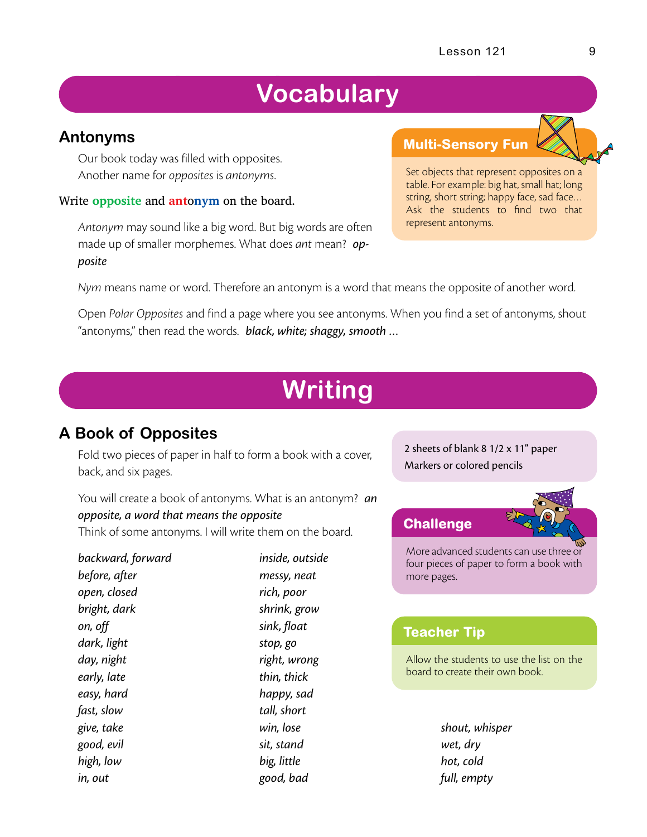# **Vocabulary**

## **Antonyms**

Our book today was filled with opposites. Another name for *opposites* is *antonyms*.

#### **Write opposite and <b>antonym** on the board.

*Antonym* may sound like a big word. But big words are often made up of smaller morphemes. What does *ant* mean? *opposite*

# **Multi-Sensory Fun**

Set objects that represent opposites on a table. For example: big hat, small hat; long string, short string; happy face, sad face… Ask the students to find two that represent antonyms.

*Nym* means name or word. Therefore an antonym is a word that means the opposite of another word.

Open *Polar Opposites* and find a page where you see antonyms. When you find a set of antonyms, shout "antonyms," then read the words. *black, white; shaggy, smooth …*

# **Writing**

# **A Book of Opposites**

Fold two pieces of paper in half to form a book with a cover, back, and six pages.

You will create a book of antonyms. What is an antonym? *an opposite, a word that means the opposite* Think of some antonyms. I will write them on the board.

*backward, forward before, after open, closed bright, dark on, off dark, light day, night early, late easy, hard fast, slow give, take good, evil high, low in, out inside, outside messy, neat rich, poor shrink, grow sink, float stop, go right, wrong thin, thick happy, sad tall, short win, lose sit, stand big, little good, bad*

2 sheets of blank 8 1/2 x 11" paper Markers or colored pencils

#### **Challenge**

More advanced students can use three or four pieces of paper to form a book with more pages.

## **Teacher Tip**

Allow the students to use the list on the board to create their own book.

> *shout, whisper wet, dry hot, cold full, empty*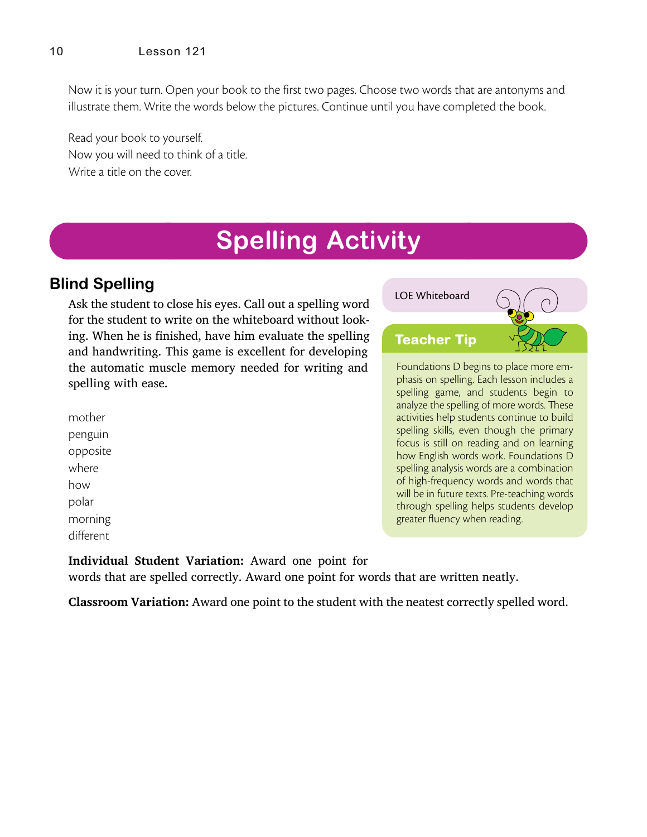Now it is your turn. Open your book to the first two pages. Choose two words that are antonyms and illustrate them. Write the words below the pictures. Continue until you have completed the book.

Read your book to yourself. Now you will need to think of a title. Write a title on the cover.

# **Spelling Activity**

# **Blind Spelling**

Ask the student to close his eyes. Call out a spelling word for the student to write on the whiteboard without looking. When he is finished, have him evaluate the spelling and handwriting. This game is excellent for developing the automatic muscle memory needed for writing and spelling with ease.

mother penguin opposite where how polar morning different

LOE Whiteboard



through spelling helps students develop

greater fluency when reading.

**Individual Student Variation:** Award one point for words that are spelled correctly. Award one point for words that are written neatly.

**Classroom Variation:** Award one point to the student with the neatest correctly spelled word.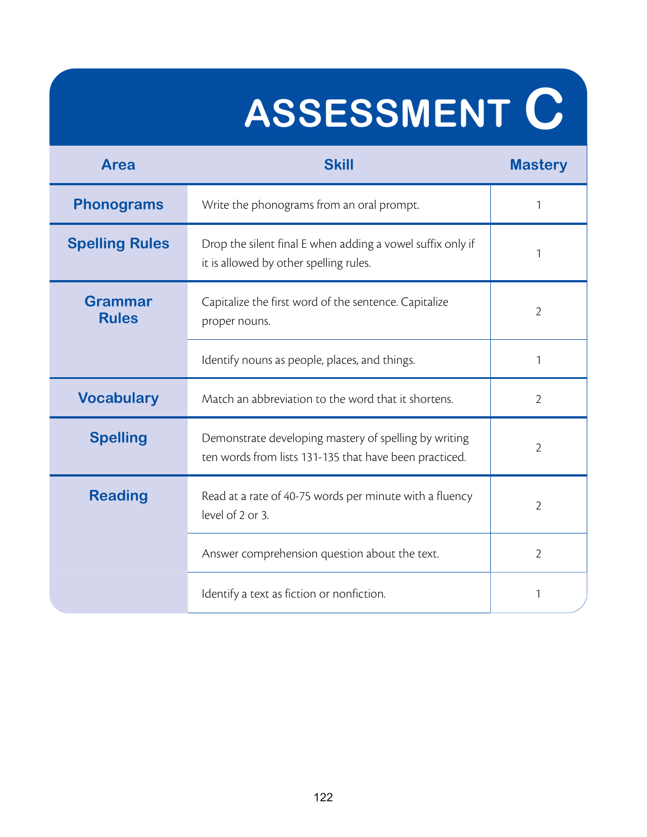# **ASSESSMENT C**

| Area                                                                                          | <b>Skill</b>                                                                                                    | <b>Mastery</b> |
|-----------------------------------------------------------------------------------------------|-----------------------------------------------------------------------------------------------------------------|----------------|
| <b>Phonograms</b>                                                                             | Write the phonograms from an oral prompt.                                                                       |                |
| <b>Spelling Rules</b>                                                                         | Drop the silent final E when adding a vowel suffix only if<br>it is allowed by other spelling rules.            | 1              |
| <b>Grammar</b><br><b>Rules</b>                                                                | Capitalize the first word of the sentence. Capitalize<br>proper nouns.                                          | 2              |
|                                                                                               | Identify nouns as people, places, and things.                                                                   | 1              |
| <b>Vocabulary</b>                                                                             | Match an abbreviation to the word that it shortens.                                                             |                |
| <b>Spelling</b>                                                                               | Demonstrate developing mastery of spelling by writing<br>ten words from lists 131-135 that have been practiced. |                |
| <b>Reading</b><br>Read at a rate of 40-75 words per minute with a fluency<br>level of 2 or 3. |                                                                                                                 | 2              |
|                                                                                               | Answer comprehension question about the text.                                                                   | $\overline{2}$ |
|                                                                                               | Identify a text as fiction or nonfiction.                                                                       | 1              |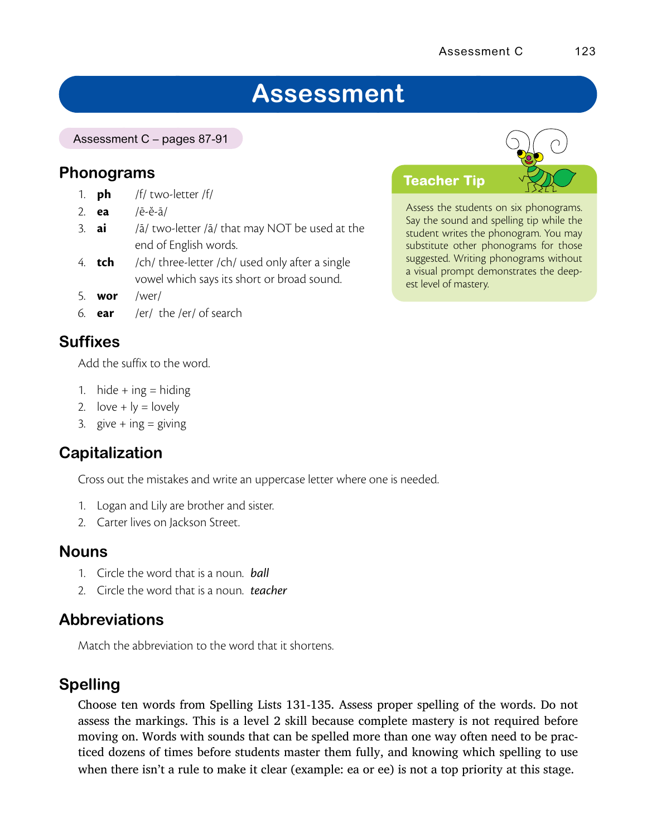# **Assessment**

Assessment C – pages 87-91

## **Phonograms**

- 1. **ph** /f/ two-letter /f/
- 2. **ea** /ē-ĕ-ā/
- 3. **ai** /ā/ two-letter /ā/ that may NOT be used at the end of English words.
- 4. **tch** /ch/ three-letter /ch/ used only after a single vowel which says its short or broad sound.
- 5. **wor** /wer/
- 6. **ear** /er/ the /er/ of search

# **Suffixes**

Add the suffix to the word.

- 1. hide + ing = hiding
- 2. love  $+$  ly = lovely
- 3. give  $+$  ing  $=$  giving

## **Capitalization**

Cross out the mistakes and write an uppercase letter where one is needed.

- 1. Logan and Lily are brother and sister.
- 2. Carter lives on Jackson Street.

#### **Nouns**

- 1. Circle the word that is a noun. *ball*
- 2. Circle the word that is a noun. *teacher*

## **Abbreviations**

Match the abbreviation to the word that it shortens.

## **Spelling**

Choose ten words from Spelling Lists 131-135. Assess proper spelling of the words. Do not assess the markings. This is a level 2 skill because complete mastery is not required before moving on. Words with sounds that can be spelled more than one way often need to be practiced dozens of times before students master them fully, and knowing which spelling to use when there isn't a rule to make it clear (example: ea or ee) is not a top priority at this stage.



Assess the students on six phonograms. Say the sound and spelling tip while the student writes the phonogram. You may substitute other phonograms for those suggested. Writing phonograms without a visual prompt demonstrates the deepest level of mastery.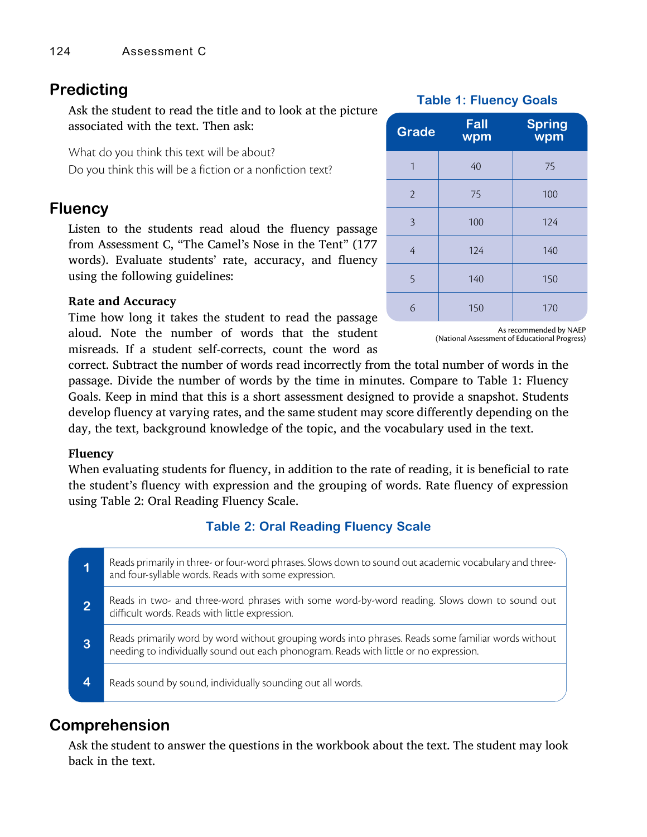# **Predicting**

Ask the student to read the title and to look at the picture associated with the text. Then ask:

What do you think this text will be about? Do you think this will be a fiction or a nonfiction text?

## **Fluency**

Listen to the students read aloud the fluency passage from Assessment C, "The Camel's Nose in the Tent" (177 words). Evaluate students' rate, accuracy, and fluency using the following guidelines:

#### **Rate and Accuracy**

Time how long it takes the student to read the passage aloud. Note the number of words that the student misreads. If a student self-corrects, count the word as

#### **Table 1: Fluency Goals**

| <b>Grade</b>   | <b>Fall</b><br>wpm | <b>Spring</b><br>wpm |
|----------------|--------------------|----------------------|
| 1              | 40                 | 75                   |
| $\overline{2}$ | 75                 | 100                  |
| $\overline{3}$ | 100                | 124                  |
| 4              | 124                | 140                  |
| $\overline{5}$ | 140                | 150                  |
| 6              | 150                | 170                  |

As recommended by NAEP (National Assessment of Educational Progress)

correct. Subtract the number of words read incorrectly from the total number of words in the passage. Divide the number of words by the time in minutes. Compare to Table 1: Fluency Goals. Keep in mind that this is a short assessment designed to provide a snapshot. Students develop fluency at varying rates, and the same student may score differently depending on the day, the text, background knowledge of the topic, and the vocabulary used in the text.

#### **Fluency**

When evaluating students for fluency, in addition to the rate of reading, it is beneficial to rate the student's fluency with expression and the grouping of words. Rate fluency of expression using Table 2: Oral Reading Fluency Scale.

#### **Table 2: Oral Reading Fluency Scale**

| Reads primarily in three- or four-word phrases. Slows down to sound out academic vocabulary and three-<br>and four-syllable words. Reads with some expression.                               |
|----------------------------------------------------------------------------------------------------------------------------------------------------------------------------------------------|
| Reads in two- and three-word phrases with some word-by-word reading. Slows down to sound out<br>difficult words. Reads with little expression.                                               |
| Reads primarily word by word without grouping words into phrases. Reads some familiar words without<br>needing to individually sound out each phonogram. Reads with little or no expression. |
| Reads sound by sound, individually sounding out all words.                                                                                                                                   |

## **Comprehension**

Ask the student to answer the questions in the workbook about the text. The student may look back in the text.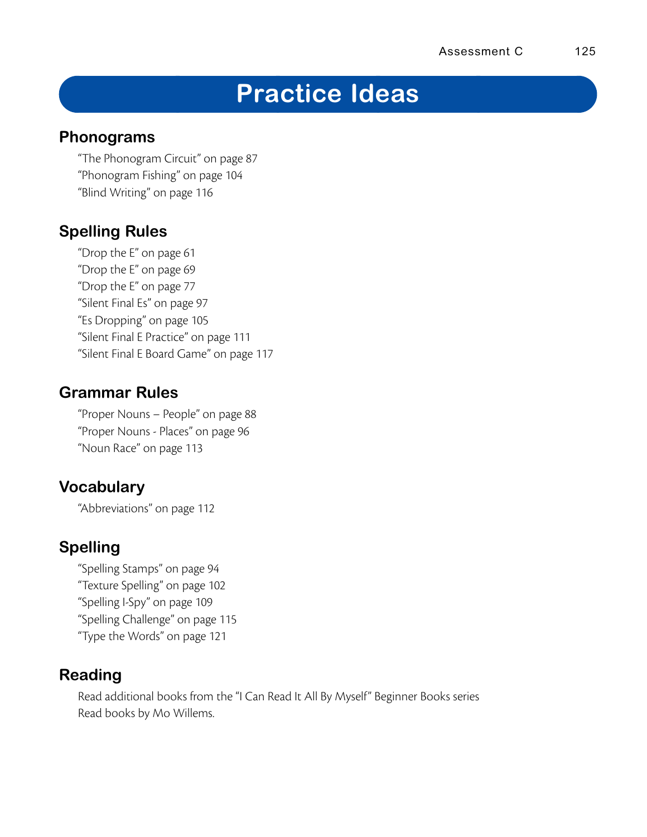# **Practice Ideas**

## **Phonograms**

"The Phonogram Circuit" on page 87 "Phonogram Fishing" on page 104 "Blind Writing" on page 116

# **Spelling Rules**

"Drop the E" on page 61 "Drop the E" on page 69 "Drop the E" on page 77 "Silent Final Es" on page 97 "Es Dropping" on page 105 "Silent Final E Practice" on page 111 "Silent Final E Board Game" on page 117

# **Grammar Rules**

"Proper Nouns – People" on page 88 "Proper Nouns - Places" on page 96 "Noun Race" on page 113

# **Vocabulary**

"Abbreviations" on page 112

# **Spelling**

"Spelling Stamps" on page 94 "Texture Spelling" on page 102 "Spelling I-Spy" on page 109 "Spelling Challenge" on page 115 "Type the Words" on page 121

# **Reading**

Read additional books from the "I Can Read It All By Myself" Beginner Books series Read books by Mo Willems.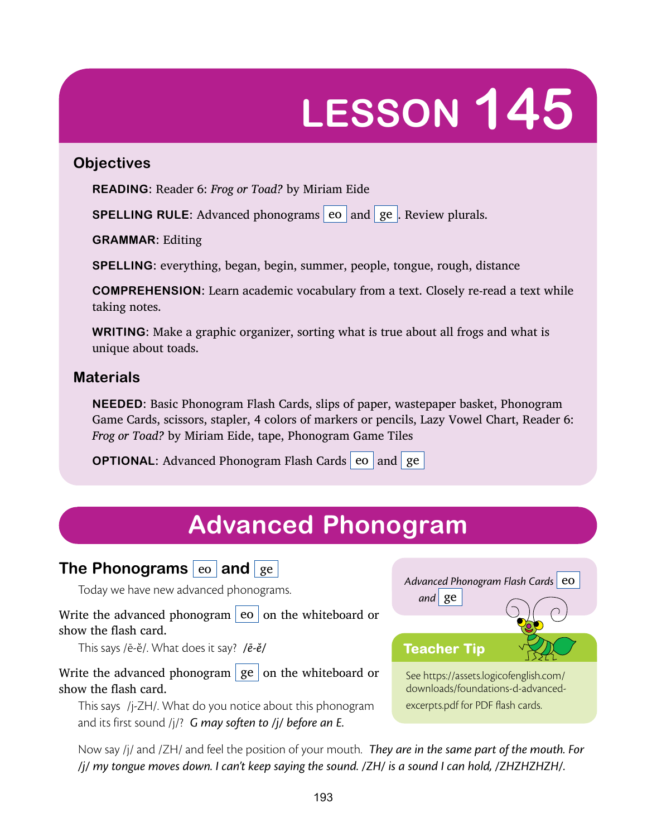# **LESSON 145**

## **Objectives**

**READING:** Reader 6: *Frog or Toad?* by Miriam Eide

**SPELLING RULE:** Advanced phonograms eo and ge. Review plurals.

**GRAMMAR:** Editing

**SPELLING:** everything, began, begin, summer, people, tongue, rough, distance

**COMPREHENSION:** Learn academic vocabulary from a text. Closely re-read a text while taking notes.

**WRITING:** Make a graphic organizer, sorting what is true about all frogs and what is unique about toads.

## **Materials**

**NEEDED:** Basic Phonogram Flash Cards, slips of paper, wastepaper basket, Phonogram Game Cards, scissors, stapler, 4 colors of markers or pencils, Lazy Vowel Chart, Reader 6: *Frog or Toad?* by Miriam Eide, tape, Phonogram Game Tiles

**OPTIONAL:** Advanced Phonogram Flash Cards eo and ge

# **Advanced Phonogram**

# **The Phonograms** eo and ge

Today we have new advanced phonograms.

Write the advanced phonogram  $|e_0|$  on the whiteboard or show the flash card.

This says /ē-ĕ/. What does it say? */ē-ĕ/*

Write the advanced phonogram  $\int$  ge  $\int$  on the whiteboard or show the flash card.

This says /j-ZH/. What do you notice about this phonogram and its first sound /j/? *G may soften to /j/ before an E.*

Advanced Phonogram Flash Cards | e0 *and* ge See https://assets.logicofenglish.com/ downloads/foundations-d-advancedexcerpts.pdf for PDF flash cards. **Teacher Tip**

Now say /j/ and /ZH/ and feel the position of your mouth. *They are in the same part of the mouth. For /j/ my tongue moves down. I can't keep saying the sound. /ZH/ is a sound I can hold, /ZHZHZHZH/.*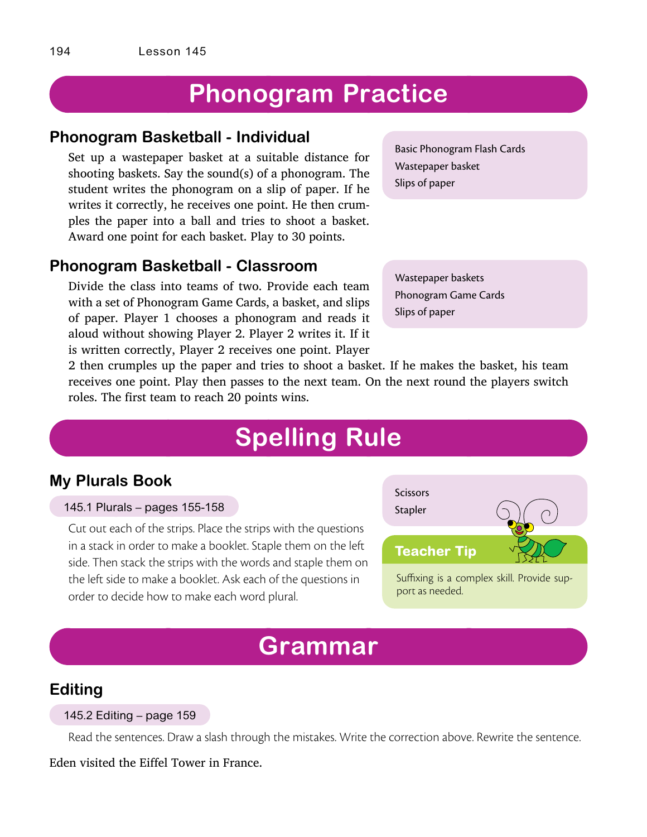# **Phonogram Practice**

#### **Phonogram Basketball - Individual**

Set up a wastepaper basket at a suitable distance for shooting baskets. Say the sound(s) of a phonogram. The student writes the phonogram on a slip of paper. If he writes it correctly, he receives one point. He then crumples the paper into a ball and tries to shoot a basket. Award one point for each basket. Play to 30 points.

#### **Phonogram Basketball - Classroom**

Divide the class into teams of two. Provide each team with a set of Phonogram Game Cards, a basket, and slips of paper. Player 1 chooses a phonogram and reads it aloud without showing Player 2. Player 2 writes it. If it is written correctly, Player 2 receives one point. Player Basic Phonogram Flash Cards Wastepaper basket Slips of paper

Wastepaper baskets Phonogram Game Cards Slips of paper

2 then crumples up the paper and tries to shoot a basket. If he makes the basket, his team receives one point. Play then passes to the next team. On the next round the players switch roles. The first team to reach 20 points wins.

# **Spelling Rule**

## **My Plurals Book**

145.1 Plurals – pages 155-158

Cut out each of the strips. Place the strips with the questions in a stack in order to make a booklet. Staple them on the left side. Then stack the strips with the words and staple them on the left side to make a booklet. Ask each of the questions in order to decide how to make each word plural.



Suffixing is a complex skill. Provide support as needed.

# **Grammar**

## **Editing**

#### 145.2 Editing – page 159

Read the sentences. Draw a slash through the mistakes. Write the correction above. Rewrite the sentence.

Eden visited the Eiffel Tower in France.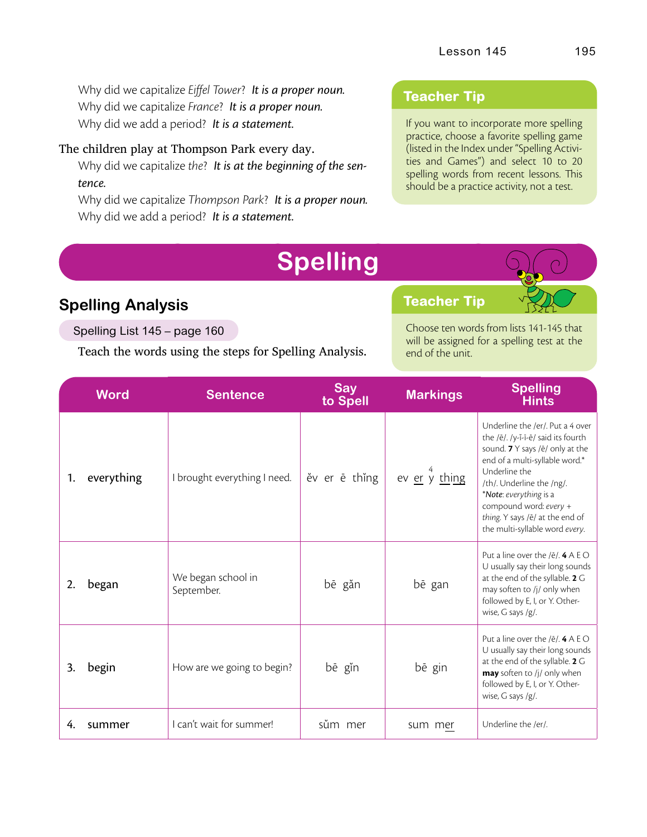Why did we capitalize *Eiffel Tower*? *It is a proper noun.* Why did we capitalize *France*? *It is a proper noun.* Why did we add a period? *It is a statement.*

#### The children play at Thompson Park every day.

Why did we capitalize *the*? *It is at the beginning of the sentence.*

Why did we capitalize *Thompson Park*? *It is a proper noun.* Why did we add a period? *It is a statement.*

#### **Teacher Tip**

If you want to incorporate more spelling practice, choose a favorite spelling game (listed in the Index under "Spelling Activities and Games") and select 10 to 20 spelling words from recent lessons. This should be a practice activity, not a test.

# **Spelling Analysis**

Spelling List 145 – page 160

Teach the words using the steps for Spelling Analysis.

## **Teacher Tip**

Choose ten words from lists 141-145 that will be assigned for a spelling test at the end of the unit.

|    | <b>Word</b> | <b>Sentence</b>                  | <b>Say</b><br>to Spell | <b>Markings</b> | <b>Spelling</b><br><b>Hints</b>                                                                                                                                                                                                                                                                                    |
|----|-------------|----------------------------------|------------------------|-----------------|--------------------------------------------------------------------------------------------------------------------------------------------------------------------------------------------------------------------------------------------------------------------------------------------------------------------|
| 1. | everything  | I brought everything I need.     | ěv er ē thing          | ev er y thing   | Underline the /er/. Put a 4 over<br>the /ē/. /y-ĭ-ī-ē/ said its fourth<br>sound. 7 Y says /ē/ only at the<br>end of a multi-syllable word.*<br>Underline the<br>/th/. Underline the /ng/.<br>*Note: everything is a<br>compound word: every +<br>thing. Y says /ē/ at the end of<br>the multi-syllable word every. |
| 2. | began       | We began school in<br>September. | bē găn                 | bē gan          | Put a line over the $/ê/$ . 4 A E O<br>U usually say their long sounds<br>at the end of the syllable. 2 G<br>may soften to /j/ only when<br>followed by E, I, or Y. Other-<br>wise, G says /g/.                                                                                                                    |
| 3. | begin       | How are we going to begin?       | bē gĭn                 | bē gin          | Put a line over the $/ê/$ . 4 A E O<br>U usually say their long sounds<br>at the end of the syllable. 2 G<br>may soften to /j/ only when<br>followed by E, I, or Y. Other-<br>wise, $G$ says /g/.                                                                                                                  |
| 4. | summer      | I can't wait for summer!         | sům mer                | sum mer         | Underline the /er/.                                                                                                                                                                                                                                                                                                |

**Spelling**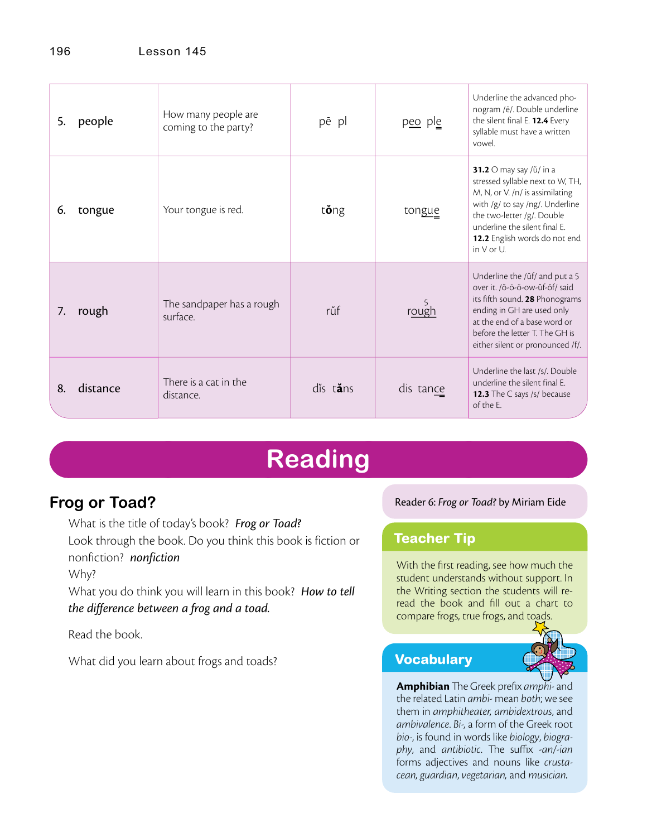| 5. | people   | How many people are<br>coming to the party? | pē pl             | peo ple   | Underline the advanced pho-<br>nogram /ē/. Double underline<br>the silent final E. 12.4 Every<br>syllable must have a written<br>vowel.                                                                                                           |
|----|----------|---------------------------------------------|-------------------|-----------|---------------------------------------------------------------------------------------------------------------------------------------------------------------------------------------------------------------------------------------------------|
| 6. | tongue   | Your tongue is red.                         | t <b>ö</b> ng     | tongue    | 31.2 O may say / u / in a<br>stressed syllable next to W, TH,<br>M, N, or V. /n/ is assimilating<br>with /g/ to say /ng/. Underline<br>the two-letter /g/. Double<br>underline the silent final F.<br>12.2 English words do not end<br>in V or U. |
| 7. | rough    | The sandpaper has a rough<br>surface.       | růf               | rough     | Underline the /ŭf/ and put a 5<br>over it. /ŏ-ō-ö-ow-ŭf-ŏf/ said<br>its fifth sound. 28 Phonograms<br>ending in GH are used only<br>at the end of a base word or<br>before the letter T. The GH is<br>either silent or pronounced /f/.            |
| 8. | distance | There is a cat in the<br>distance.          | dis t <b>ă</b> ns | dis tance | Underline the last /s/. Double<br>underline the silent final E.<br>12.3 The C says /s/ because<br>of the F.                                                                                                                                       |

# **Reading**

# **Frog or Toad?**

What is the title of today's book? *Frog or Toad?* Look through the book. Do you think this book is fiction or nonfiction? *nonfiction*

Why?

What you do think you will learn in this book? *How to tell the difference between a frog and a toad.*

Read the book.

What did you learn about frogs and toads?

#### Reader 6: *Frog or Toad?* by Miriam Eide

## **Teacher Tip**

With the first reading, see how much the student understands without support. In the Writing section the students will reread the book and fill out a chart to compare frogs, true frogs, and toads.

## **Vocabulary**

Amphibian The Greek prefix *amphi-* and the related Latin *ambi-* mean *both*; we see them in *amphitheater, ambidextrous*, and *ambivalence*. *Bi-,* a form of the Greek root *bio-*, is found in words like *biology*, *biography*, and *antibiotic*. The suffix -*an*/-ian forms adjectives and nouns like *crustacean, guardian*, *vegetarian,* and *musician.*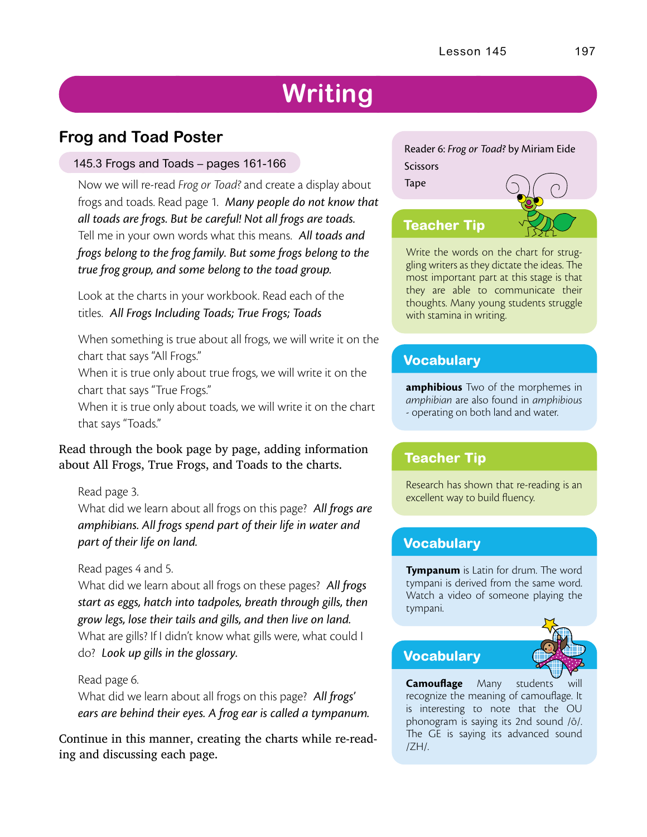# **Writing**

# **Frog and Toad Poster**

#### 145.3 Frogs and Toads – pages 161-166

Now we will re-read *Frog or Toad?* and create a display about frogs and toads. Read page 1. *Many people do not know that all toads are frogs. But be careful! Not all frogs are toads.* Tell me in your own words what this means. *All toads and frogs belong to the frog family. But some frogs belong to the true frog group, and some belong to the toad group.*

Look at the charts in your workbook. Read each of the titles. *All Frogs Including Toads; True Frogs; Toads*

When something is true about all frogs, we will write it on the chart that says "All Frogs."

When it is true only about true frogs, we will write it on the chart that says "True Frogs."

When it is true only about toads, we will write it on the chart that says "Toads."

#### Read through the book page by page, adding information about All Frogs, True Frogs, and Toads to the charts.

Read page 3.

What did we learn about all frogs on this page? *All frogs are amphibians. All frogs spend part of their life in water and part of their life on land.*

#### Read pages 4 and 5.

What did we learn about all frogs on these pages? *All frogs start as eggs, hatch into tadpoles, breath through gills, then grow legs, lose their tails and gills, and then live on land.* What are gills? If I didn't know what gills were, what could I do? *Look up gills in the glossary.*

Read page 6.

What did we learn about all frogs on this page? *All frogs' ears are behind their eyes. A frog ear is called a tympanum.*

Continue in this manner, creating the charts while re-reading and discussing each page.

#### Reader 6: *Frog or Toad?* by Miriam Eide **Scissors** Tape



Write the words on the chart for struggling writers as they dictate the ideas. The most important part at this stage is that they are able to communicate their thoughts. Many young students struggle with stamina in writing.

## **Vocabulary**

**amphibious** Two of the morphemes in *amphibian* are also found in *amphibious* - operating on both land and water.

## **Teacher Tip**

Research has shown that re-reading is an excellent way to build fluency.

## **Vocabulary**

**Tympanum** is Latin for drum. The word tympani is derived from the same word. Watch a video of someone playing the tympani.

## **Vocabulary**



**Camouflage** Many students recognize the meaning of camouflage. It is interesting to note that the OU phonogram is saying its 2nd sound /ō/. The GE is saying its advanced sound /ZH/.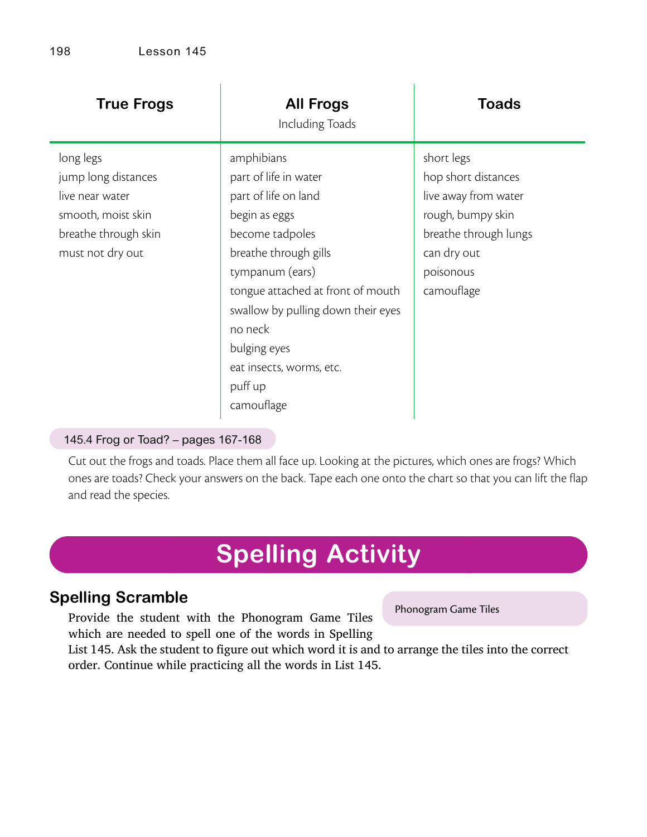| <b>True Frogs</b>                                                                                                     | <b>All Frogs</b><br>Including Toads                                                                                                                                                                                                                                                                    | <b>Toads</b>                                                                                                                                      |
|-----------------------------------------------------------------------------------------------------------------------|--------------------------------------------------------------------------------------------------------------------------------------------------------------------------------------------------------------------------------------------------------------------------------------------------------|---------------------------------------------------------------------------------------------------------------------------------------------------|
| long legs<br>jump long distances<br>live near water<br>smooth, moist skin<br>breathe through skin<br>must not dry out | amphibians<br>part of life in water<br>part of life on land<br>begin as eggs<br>become tadpoles<br>breathe through gills<br>tympanum (ears)<br>tongue attached at front of mouth<br>swallow by pulling down their eyes<br>no neck<br>bulging eyes<br>eat insects, worms, etc.<br>puff up<br>camouflage | short legs<br>hop short distances<br>live away from water<br>rough, bumpy skin<br>breathe through lungs<br>can dry out<br>poisonous<br>camouflage |

#### 145.4 Frog or Toad? – pages 167-168

Cut out the frogs and toads. Place them all face up. Looking at the pictures, which ones are frogs? Which ones are toads? Check your answers on the back. Tape each one onto the chart so that you can lift the flap and read the species.

# **Spelling Activity**

# **Spelling Scramble**

Provide the student with the Phonogram Game Tiles which are needed to spell one of the words in Spelling

Phonogram Game Tiles

List 145. Ask the student to figure out which word it is and to arrange the tiles into the correct order. Continue while practicing all the words in List 145.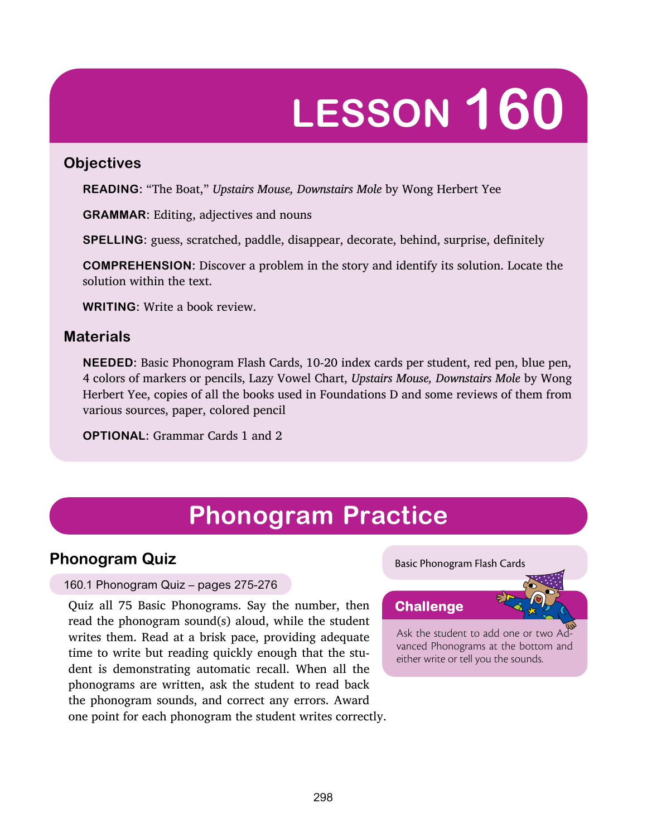# **LESSON 160**

#### **Objectives**

**READING:** "The Boat," *Upstairs Mouse, Downstairs Mole* by Wong Herbert Yee

**GRAMMAR:** Editing, adjectives and nouns

**SPELLING:** guess, scratched, paddle, disappear, decorate, behind, surprise, definitely

**COMPREHENSION:** Discover a problem in the story and identify its solution. Locate the solution within the text.

**WRITING:** Write a book review.

## **Materials**

**NEEDED:** Basic Phonogram Flash Cards, 10-20 index cards per student, red pen, blue pen, 4 colors of markers or pencils, Lazy Vowel Chart, *Upstairs Mouse, Downstairs Mole* by Wong Herbert Yee, copies of all the books used in Foundations D and some reviews of them from various sources, paper, colored pencil

**OPTIONAL:** Grammar Cards 1 and 2

# **Phonogram Practice**

## **Phonogram Quiz**

#### 160.1 Phonogram Quiz – pages 275-276

Quiz all 75 Basic Phonograms. Say the number, then read the phonogram sound(s) aloud, while the student writes them. Read at a brisk pace, providing adequate time to write but reading quickly enough that the student is demonstrating automatic recall. When all the phonograms are written, ask the student to read back the phonogram sounds, and correct any errors. Award one point for each phonogram the student writes correctly.

#### Basic Phonogram Flash Cards



Ask the student to add one or two Advanced Phonograms at the bottom and either write or tell you the sounds.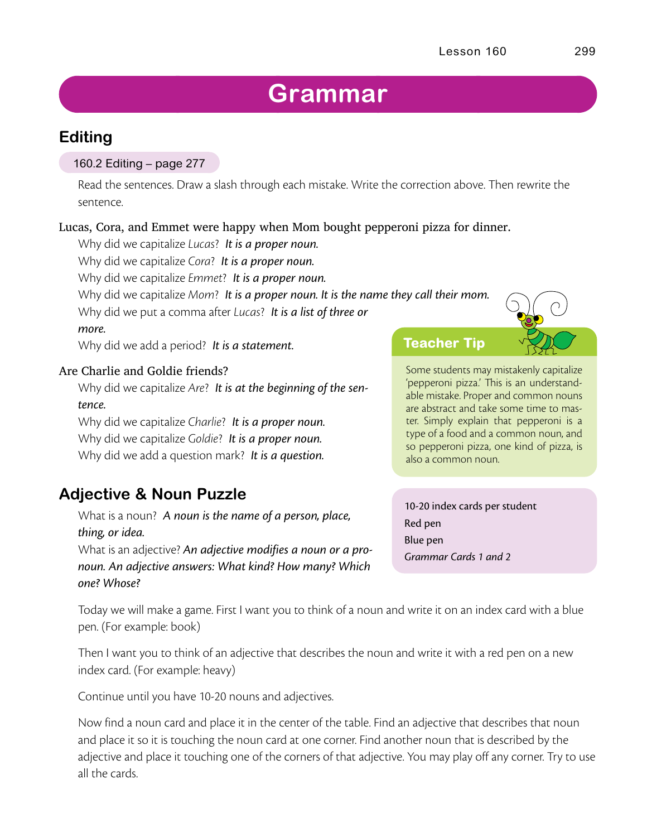# **Grammar**

# **Editing**

#### 160.2 Editing – page 277

Read the sentences. Draw a slash through each mistake. Write the correction above. Then rewrite the sentence.

#### Lucas, Cora, and Emmet were happy when Mom bought pepperoni pizza for dinner.

Why did we capitalize *Lucas*? *It is a proper noun.*

Why did we capitalize *Cora*? *It is a proper noun.*

Why did we capitalize *Emmet*? *It is a proper noun.*

Why did we capitalize *Mom*? *It is a proper noun. It is the name they call their mom.*

Why did we put a comma after *Lucas*? *It is a list of three or more.*

Why did we add a period? *It is a statement.*

#### Are Charlie and Goldie friends?

Why did we capitalize *Are*? *It is at the beginning of the sentence.*

Why did we capitalize *Charlie*? *It is a proper noun.* Why did we capitalize *Goldie*? *It is a proper noun.* Why did we add a question mark? *It is a question.*

# **Adjective & Noun Puzzle**

What is a noun? *A noun is the name of a person, place, thing, or idea.*

What is an adjective? *An adjective modifies a noun or a pronoun. An adjective answers: What kind? How many? Which one? Whose?*

**Teacher Tip**

Some students may mistakenly capitalize 'pepperoni pizza.' This is an understandable mistake. Proper and common nouns are abstract and take some time to master. Simply explain that pepperoni is a type of a food and a common noun, and so pepperoni pizza, one kind of pizza, is also a common noun.

10-20 index cards per student Red pen Blue pen *Grammar Cards 1 and 2*

Today we will make a game. First I want you to think of a noun and write it on an index card with a blue pen. (For example: book)

Then I want you to think of an adjective that describes the noun and write it with a red pen on a new index card. (For example: heavy)

Continue until you have 10-20 nouns and adjectives.

Now find a noun card and place it in the center of the table. Find an adjective that describes that noun and place it so it is touching the noun card at one corner. Find another noun that is described by the adjective and place it touching one of the corners of that adjective. You may play off any corner. Try to use all the cards.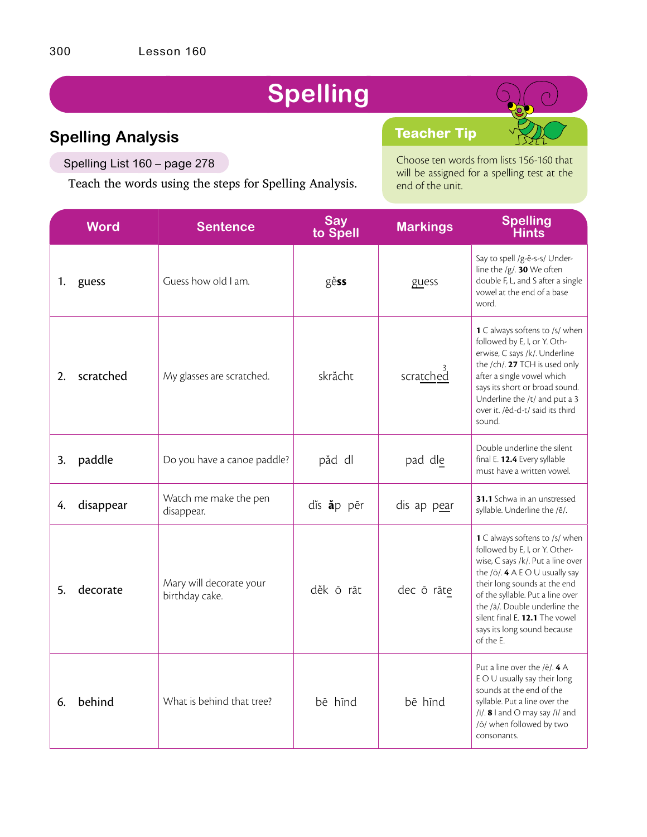# **Spelling**

# **Spelling Analysis**

Spelling List 160 – page 278

Teach the words using the steps for Spelling Analysis.

Choose ten words from lists 156-160 that will be assigned for a spelling test at the end of the unit.

**Teacher Tip**

|    | <b>Word</b> | <b>Sentence</b>                           | <b>Say</b><br>to Spell | <b>Markings</b> | <b>Spelling</b><br>Hints                                                                                                                                                                                                                                                                                                     |
|----|-------------|-------------------------------------------|------------------------|-----------------|------------------------------------------------------------------------------------------------------------------------------------------------------------------------------------------------------------------------------------------------------------------------------------------------------------------------------|
| 1. | guess       | Guess how old I am.                       | gĕss                   | guess           | Say to spell /g-ě-s-s/ Under-<br>line the /g/. 30 We often<br>double F, L, and S after a single<br>vowel at the end of a base<br>word.                                                                                                                                                                                       |
| 2. | scratched   | My glasses are scratched.                 | skrächt                | scratched       | <b>1</b> C always softens to /s/ when<br>followed by E, I, or Y. Oth-<br>erwise, C says /k/. Underline<br>the /ch/. 27 TCH is used only<br>after a single vowel which<br>says its short or broad sound.<br>Underline the /t/ and put a 3<br>over it. /ěd-d-t/ said its third<br>sound.                                       |
| 3. | paddle      | Do you have a canoe paddle?               | păd dl                 | pad dle         | Double underline the silent<br>final E. 12.4 Every syllable<br>must have a written vowel.                                                                                                                                                                                                                                    |
| 4. | disappear   | Watch me make the pen<br>disappear.       | dis ap pēr             | dis ap pear     | <b>31.1</b> Schwa in an unstressed<br>syllable. Underline the /ē/.                                                                                                                                                                                                                                                           |
| 5. | decorate    | Mary will decorate your<br>birthday cake. | děk ō rāt              | dec ō rāte      | 1 C always softens to /s/ when<br>followed by E, I, or Y. Other-<br>wise, C says /k/. Put a line over<br>the $/0$ . 4 A E O U usually say<br>their long sounds at the end<br>of the syllable. Put a line over<br>the /ā/. Double underline the<br>silent final E. 12.1 The vowel<br>says its long sound because<br>of the E. |
| 6. | behind      | What is behind that tree?                 | bē hīnd                | bē hīnd         | Put a line over the $/ê/$ . 4 A<br>E O U usually say their long<br>sounds at the end of the<br>syllable. Put a line over the<br>$/i/3$ and O may say $/i/3$ and<br>/ō/ when followed by two<br>consonants.                                                                                                                   |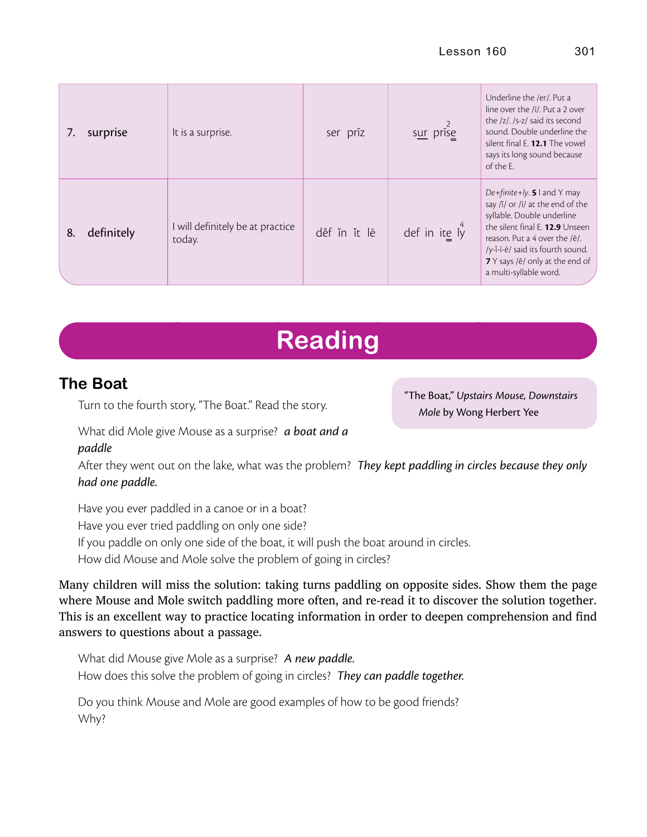|    | surprise   | It is a surprise.                          | ser prīz     | sur prise          | Underline the /er/. Put a<br>line over the /ī/. Put a 2 over<br>the /z/. /s-z/ said its second<br>sound. Double underline the<br>silent final E. 12.1 The vowel<br>says its long sound because<br>of the E.                                                        |
|----|------------|--------------------------------------------|--------------|--------------------|--------------------------------------------------------------------------------------------------------------------------------------------------------------------------------------------------------------------------------------------------------------------|
| 8. | definitely | I will definitely be at practice<br>today. | děf ĭn ĭt lē | def in ite $I_y^4$ | De+finite+ly. 5 I and Y may<br>say /ĭ/ or /ī/ at the end of the<br>syllable. Double underline<br>the silent final E. 12.9 Unseen<br>reason. Put a 4 over the /e/.<br>/y-ĭ-ī-ē/ said its fourth sound.<br>7 Y says /ē/ only at the end of<br>a multi-syllable word. |

# **Reading**

# **The Boat**

Turn to the fourth story, "The Boat." Read the story.

"The Boat," *Upstairs Mouse, Downstairs Mole* by Wong Herbert Yee

What did Mole give Mouse as a surprise? *a boat and a paddle*

After they went out on the lake, what was the problem? *They kept paddling in circles because they only had one paddle.*

Have you ever paddled in a canoe or in a boat? Have you ever tried paddling on only one side? If you paddle on only one side of the boat, it will push the boat around in circles. How did Mouse and Mole solve the problem of going in circles?

Many children will miss the solution: taking turns paddling on opposite sides. Show them the page where Mouse and Mole switch paddling more often, and re-read it to discover the solution together. This is an excellent way to practice locating information in order to deepen comprehension and find answers to questions about a passage.

What did Mouse give Mole as a surprise? *A new paddle.* How does this solve the problem of going in circles? *They can paddle together.*

Do you think Mouse and Mole are good examples of how to be good friends? Why?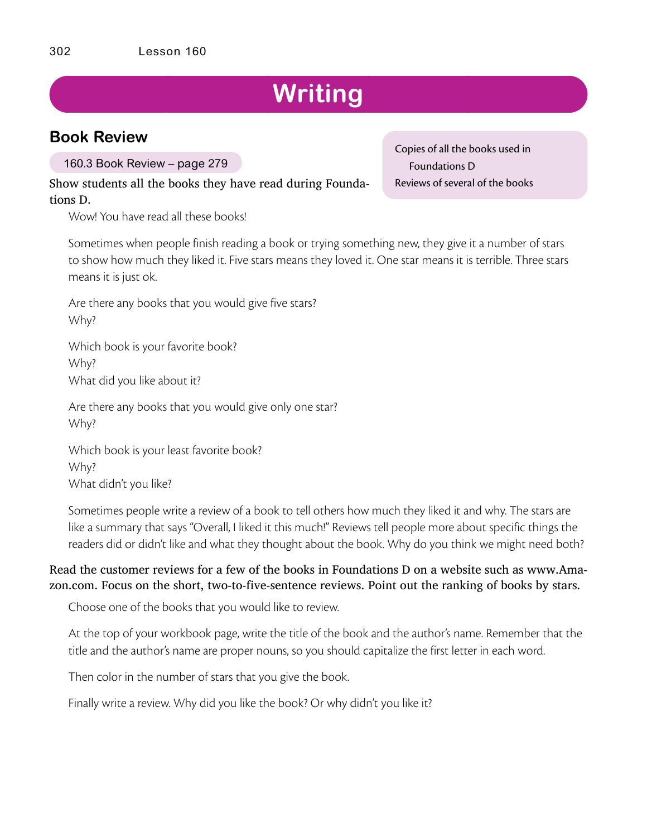# **Writing**

## **Book Review**

160.3 Book Review – page 279

Show students all the books they have read during Foundations D.

Wow! You have read all these books!

Sometimes when people finish reading a book or trying something new, they give it a number of stars to show how much they liked it. Five stars means they loved it. One star means it is terrible. Three stars means it is just ok.

Are there any books that you would give five stars? Why?

Which book is your favorite book? Why? What did you like about it?

Are there any books that you would give only one star? Why?

Which book is your least favorite book? Why? What didn't you like?

Sometimes people write a review of a book to tell others how much they liked it and why. The stars are like a summary that says "Overall, I liked it this much!" Reviews tell people more about specific things the readers did or didn't like and what they thought about the book. Why do you think we might need both?

#### Read the customer reviews for a few of the books in Foundations D on a website such as www.Amazon.com. Focus on the short, two-to-five-sentence reviews. Point out the ranking of books by stars.

Choose one of the books that you would like to review.

At the top of your workbook page, write the title of the book and the author's name. Remember that the title and the author's name are proper nouns, so you should capitalize the first letter in each word.

Then color in the number of stars that you give the book.

Finally write a review. Why did you like the book? Or why didn't you like it?

Copies of all the books used in Foundations D Reviews of several of the books